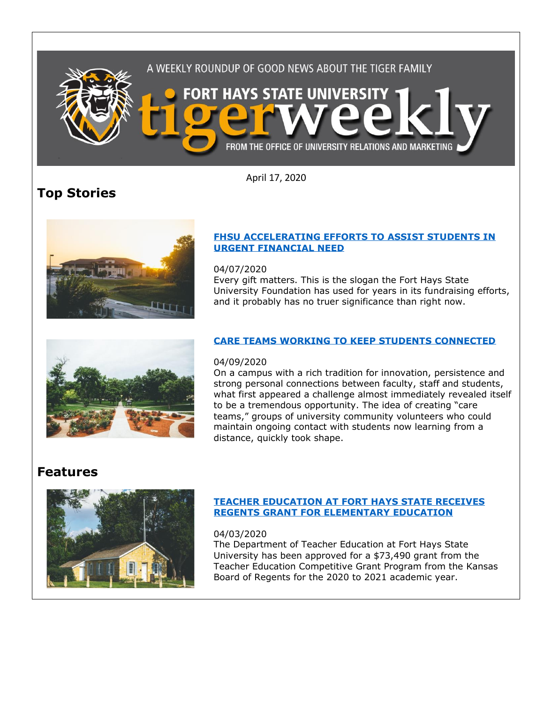

April 17, 2020

# **Top Stories**



#### **[FHSU ACCELERATING EFFORTS TO ASSIST STUDENTS IN](https://fhsu.edu/news/2020/04/fhsu-accelerating-efforts-to-assist-students-in-urgent-financial-need)  [URGENT FINANCIAL NEED](https://fhsu.edu/news/2020/04/fhsu-accelerating-efforts-to-assist-students-in-urgent-financial-need)**

04/07/2020

Every gift matters. This is the slogan the Fort Hays State University Foundation has used for years in its fundraising efforts, and it probably has no truer significance than right now.



### 04/09/2020

On a campus with a rich tradition for innovation, persistence and strong personal connections between faculty, staff and students, what first appeared a challenge almost immediately revealed itself to be a tremendous opportunity. The idea of creating "care teams," groups of university community volunteers who could maintain ongoing contact with students now learning from a distance, quickly took shape.

# **Features**



## **[TEACHER EDUCATION AT FORT HAYS STATE RECEIVES](https://fhsu.edu/news/2020/04/teacher-education-at-fort-hays-state-receives-regents-grant-for-elementary-education)  [REGENTS GRANT FOR ELEMENTARY EDUCATION](https://fhsu.edu/news/2020/04/teacher-education-at-fort-hays-state-receives-regents-grant-for-elementary-education)**

#### 04/03/2020

The Department of Teacher Education at Fort Hays State University has been approved for a \$73,490 grant from the Teacher Education Competitive Grant Program from the Kansas Board of Regents for the 2020 to 2021 academic year.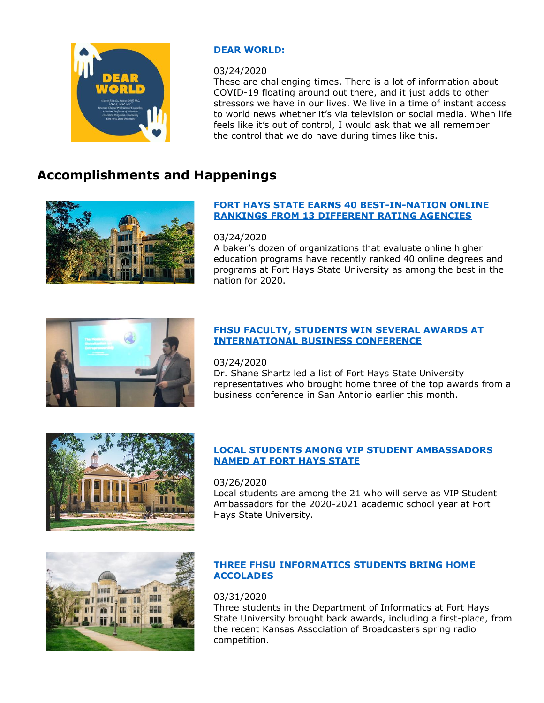

#### **[DEAR WORLD:](https://fhsu.edu/news/2020/03/dear-world)**

#### 03/24/2020

These are challenging times. There is a lot of information about COVID-19 floating around out there, and it just adds to other stressors we have in our lives. We live in a time of instant access to world news whether it's via television or social media. When life feels like it's out of control, I would ask that we all remember the control that we do have during times like this.

# **Accomplishments and Happenings**



#### **[FORT HAYS STATE EARNS 40 BEST-IN-NATION ONLINE](https://fhsu.edu/news/2020/03/fort-hays-state-earns-40-best-in-nation-online-rankings-from-13-different-rating-agencies)  [RANKINGS FROM 13 DIFFERENT RATING AGENCIES](https://fhsu.edu/news/2020/03/fort-hays-state-earns-40-best-in-nation-online-rankings-from-13-different-rating-agencies)**

#### 03/24/2020

A baker's dozen of organizations that evaluate online higher education programs have recently ranked 40 online degrees and programs at Fort Hays State University as among the best in the nation for 2020.



#### **[FHSU FACULTY, STUDENTS WIN SEVERAL AWARDS AT](https://fhsu.edu/news/2020/03/fhsu-faculty,-students-win-several-awards-at-international-business-conference)  [INTERNATIONAL BUSINESS CONFERENCE](https://fhsu.edu/news/2020/03/fhsu-faculty,-students-win-several-awards-at-international-business-conference)**

### 03/24/2020

Dr. Shane Shartz led a list of Fort Hays State University representatives who brought home three of the top awards from a business conference in San Antonio earlier this month.



#### **[LOCAL STUDENTS AMONG VIP STUDENT AMBASSADORS](https://fhsu.edu/news/2020/03/local-students-among-vip-student-ambassadors-named-at-fort-hays-state)  [NAMED AT FORT HAYS STATE](https://fhsu.edu/news/2020/03/local-students-among-vip-student-ambassadors-named-at-fort-hays-state)**

#### 03/26/2020

Local students are among the 21 who will serve as VIP Student Ambassadors for the 2020-2021 academic school year at Fort Hays State University.



#### **[THREE FHSU INFORMATICS STUDENTS BRING HOME](https://fhsu.edu/news/2020/03/three-fhsu-informatics-students-bring-home-accolades)  [ACCOLADES](https://fhsu.edu/news/2020/03/three-fhsu-informatics-students-bring-home-accolades)**

#### 03/31/2020

Three students in the Department of Informatics at Fort Hays State University brought back awards, including a first-place, from the recent Kansas Association of Broadcasters spring radio competition.